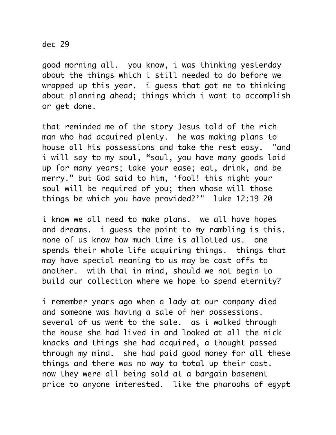dec 29

good morning all. you know, i was thinking yesterday about the things which i still needed to do before we wrapped up this year. i guess that got me to thinking about planning ahead; things which i want to accomplish or get done.

that reminded me of the story Jesus told of the rich man who had acquired plenty. he was making plans to house all his possessions and take the rest easy. "and i will say to my soul, "soul, you have many goods laid up for many years; take your ease; eat, drink, and be merry." but God said to him, 'fool! this night your soul will be required of you; then whose will those things be which you have provided?'" luke 12:19-20

i know we all need to make plans. we all have hopes and dreams. i guess the point to my rambling is this. none of us know how much time is allotted us. one spends their whole life acquiring things. things that may have special meaning to us may be cast offs to another. with that in mind, should we not begin to build our collection where we hope to spend eternity?

i remember years ago when a lady at our company died and someone was having a sale of her possessions. several of us went to the sale. as i walked through the house she had lived in and looked at all the nick knacks and things she had acquired, a thought passed through my mind. she had paid good money for all these things and there was no way to total up their cost. now they were all being sold at a bargain basement price to anyone interested. like the pharoahs of egypt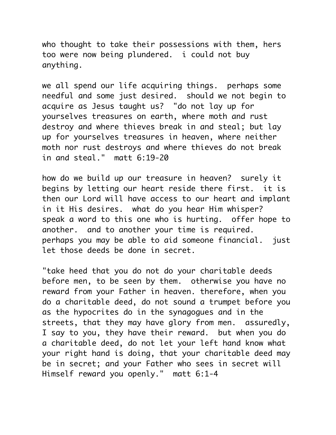who thought to take their possessions with them, hers too were now being plundered. i could not buy anything.

we all spend our life acquiring things. perhaps some needful and some just desired. should we not begin to acquire as Jesus taught us? "do not lay up for yourselves treasures on earth, where moth and rust destroy and where thieves break in and steal; but lay up for yourselves treasures in heaven, where neither moth nor rust destroys and where thieves do not break in and steal." matt 6:19-20

how do we build up our treasure in heaven? surely it begins by letting our heart reside there first. it is then our Lord will have access to our heart and implant in it His desires. what do you hear Him whisper? speak a word to this one who is hurting. offer hope to another. and to another your time is required. perhaps you may be able to aid someone financial. just let those deeds be done in secret.

"take heed that you do not do your charitable deeds before men, to be seen by them. otherwise you have no reward from your Father in heaven. therefore, when you do a charitable deed, do not sound a trumpet before you as the hypocrites do in the synagogues and in the streets, that they may have glory from men. assuredly, I say to you, they have their reward. but when you do a charitable deed, do not let your left hand know what your right hand is doing, that your charitable deed may be in secret; and your Father who sees in secret will Himself reward you openly." matt 6:1-4